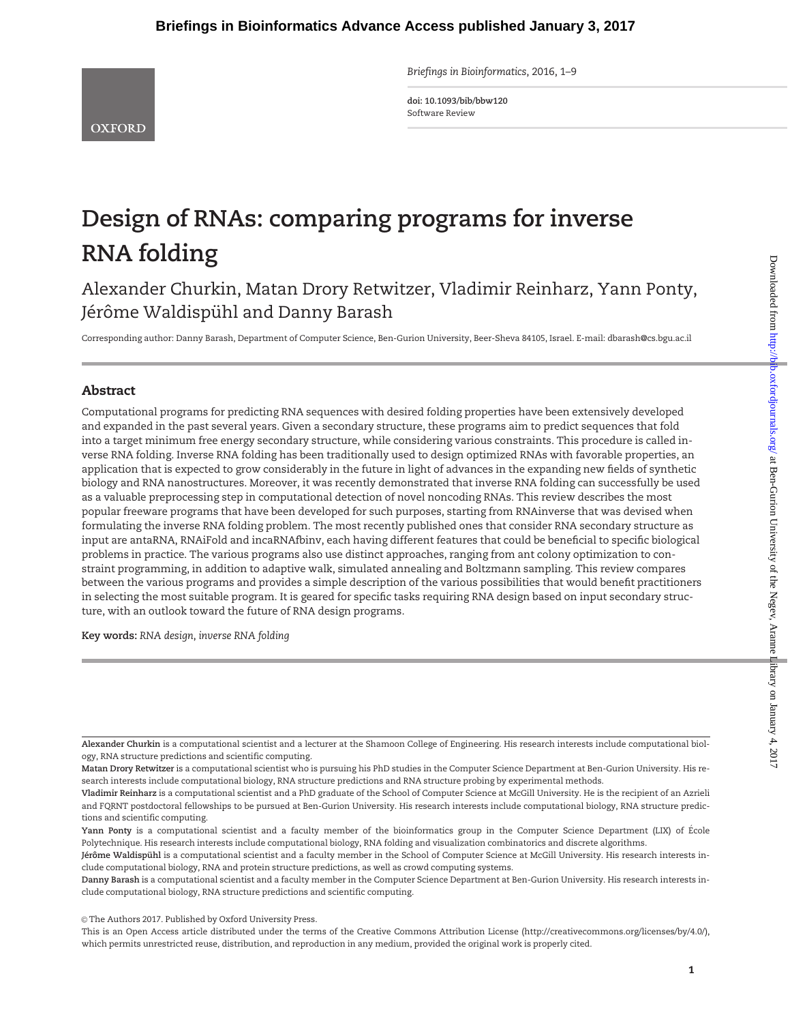Briefings in Bioinformatics, 2016, 1–9

doi: 10.1093/bib/bbw120 Software Review

# Design of RNAs: comparing programs for inverse RNA folding

Alexander Churkin, Matan Drory Retwitzer, Vladimir Reinharz, Yann Ponty, Jérôme Waldispühl and Danny Barash

Corresponding author: Danny Barash, Department of Computer Science, Ben-Gurion University, Beer-Sheva 84105, Israel. E-mail: dbarash@cs.bgu.ac.il

## Abstract

Computational programs for predicting RNA sequences with desired folding properties have been extensively developed and expanded in the past several years. Given a secondary structure, these programs aim to predict sequences that fold into a target minimum free energy secondary structure, while considering various constraints. This procedure is called inverse RNA folding. Inverse RNA folding has been traditionally used to design optimized RNAs with favorable properties, an application that is expected to grow considerably in the future in light of advances in the expanding new fields of synthetic biology and RNA nanostructures. Moreover, it was recently demonstrated that inverse RNA folding can successfully be used as a valuable preprocessing step in computational detection of novel noncoding RNAs. This review describes the most popular freeware programs that have been developed for such purposes, starting from RNAinverse that was devised when formulating the inverse RNA folding problem. The most recently published ones that consider RNA secondary structure as input are antaRNA, RNAiFold and incaRNAfbinv, each having different features that could be beneficial to specific biological problems in practice. The various programs also use distinct approaches, ranging from ant colony optimization to constraint programming, in addition to adaptive walk, simulated annealing and Boltzmann sampling. This review compares between the various programs and provides a simple description of the various possibilities that would benefit practitioners in selecting the most suitable program. It is geared for specific tasks requiring RNA design based on input secondary structure, with an outlook toward the future of RNA design programs.

Key words: RNA design, inverse RNA folding

© The Authors 2017. Published by Oxford University Press.

Alexander Churkin is a computational scientist and a lecturer at the Shamoon College of Engineering. His research interests include computational biology, RNA structure predictions and scientific computing.

Matan Drory Retwitzer is a computational scientist who is pursuing his PhD studies in the Computer Science Department at Ben-Gurion University. His research interests include computational biology, RNA structure predictions and RNA structure probing by experimental methods.

Vladimir Reinharz is a computational scientist and a PhD graduate of the School of Computer Science at McGill University. He is the recipient of an Azrieli and FQRNT postdoctoral fellowships to be pursued at Ben-Gurion University. His research interests include computational biology, RNA structure predictions and scientific computing.

Yann Ponty is a computational scientist and a faculty member of the bioinformatics group in the Computer Science Department (LIX) of École Polytechnique. His research interests include computational biology, RNA folding and visualization combinatorics and discrete algorithms.

Jérôme Waldispühl is a computational scientist and a faculty member in the School of Computer Science at McGill University. His research interests include computational biology, RNA and protein structure predictions, as well as crowd computing systems.

Danny Barash is a computational scientist and a faculty member in the Computer Science Department at Ben-Gurion University. His research interests include computational biology, RNA structure predictions and scientific computing.

This is an Open Access article distributed under the terms of the Creative Commons Attribution License (http://creativecommons.org/licenses/by/4.0/), which permits unrestricted reuse, distribution, and reproduction in any medium, provided the original work is properly cited.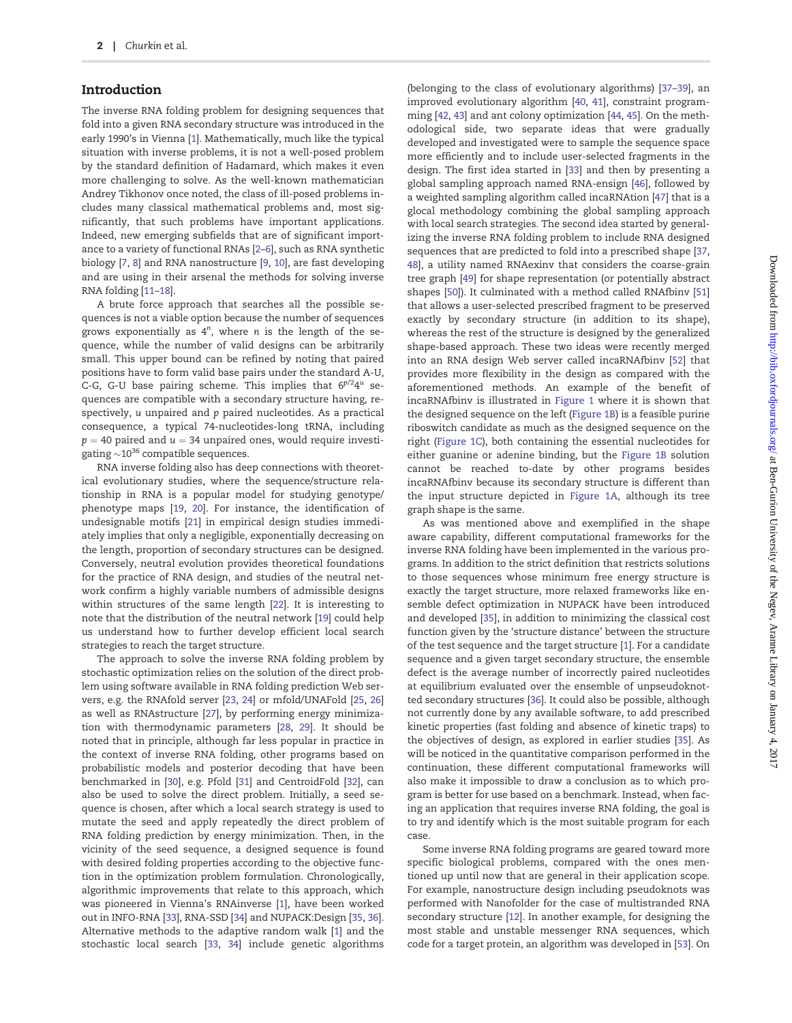#### Introduction

The inverse RNA folding problem for designing sequences that fold into a given RNA secondary structure was introduced in the early 1990's in Vienna [[1\]](#page-7-0). Mathematically, much like the typical situation with inverse problems, it is not a well-posed problem by the standard definition of Hadamard, which makes it even more challenging to solve. As the well-known mathematician Andrey Tikhonov once noted, the class of ill-posed problems includes many classical mathematical problems and, most significantly, that such problems have important applications. Indeed, new emerging subfields that are of significant importance to a variety of functional RNAs [[2–6\]](#page-7-0), such as RNA synthetic biology [\[7](#page-7-0), [8\]](#page-7-0) and RNA nanostructure [\[9,](#page-7-0) [10](#page-7-0)], are fast developing and are using in their arsenal the methods for solving inverse RNA folding [\[11–18\]](#page-7-0).

A brute force approach that searches all the possible sequences is not a viable option because the number of sequences grows exponentially as  $4^n$ , where *n* is the length of the sequence, while the number of valid designs can be arbitrarily small. This upper bound can be refined by noting that paired positions have to form valid base pairs under the standard A-U, C-G, G-U base pairing scheme. This implies that  $6^{p/2}4^u$  sequences are compatible with a secondary structure having, respectively, u unpaired and p paired nucleotides. As a practical consequence, a typical 74-nucleotides-long tRNA, including  $p = 40$  paired and  $u = 34$  unpaired ones, would require investigating  $\sim$ 10 $^{36}$  compatible sequences.

RNA inverse folding also has deep connections with theoretical evolutionary studies, where the sequence/structure relationship in RNA is a popular model for studying genotype/ phenotype maps [[19](#page-7-0), [20\]](#page-7-0). For instance, the identification of undesignable motifs [\[21](#page-7-0)] in empirical design studies immediately implies that only a negligible, exponentially decreasing on the length, proportion of secondary structures can be designed. Conversely, neutral evolution provides theoretical foundations for the practice of RNA design, and studies of the neutral network confirm a highly variable numbers of admissible designs within structures of the same length [\[22](#page-7-0)]. It is interesting to note that the distribution of the neutral network [[19](#page-7-0)] could help us understand how to further develop efficient local search strategies to reach the target structure.

The approach to solve the inverse RNA folding problem by stochastic optimization relies on the solution of the direct problem using software available in RNA folding prediction Web servers, e.g. the RNAfold server [\[23](#page-7-0), [24\]](#page-7-0) or mfold/UNAFold [\[25,](#page-7-0) [26\]](#page-7-0) as well as RNAstructure [[27](#page-7-0)], by performing energy minimization with thermodynamic parameters [[28,](#page-8-0) [29\]](#page-8-0). It should be noted that in principle, although far less popular in practice in the context of inverse RNA folding, other programs based on probabilistic models and posterior decoding that have been benchmarked in [\[30\]](#page-8-0), e.g. Pfold [[31\]](#page-8-0) and CentroidFold [\[32\]](#page-8-0), can also be used to solve the direct problem. Initially, a seed sequence is chosen, after which a local search strategy is used to mutate the seed and apply repeatedly the direct problem of RNA folding prediction by energy minimization. Then, in the vicinity of the seed sequence, a designed sequence is found with desired folding properties according to the objective function in the optimization problem formulation. Chronologically, algorithmic improvements that relate to this approach, which was pioneered in Vienna's RNAinverse [[1](#page-7-0)], have been worked out in INFO-RNA [\[33\]](#page-8-0), RNA-SSD [[34](#page-8-0)] and NUPACK:Design [\[35,](#page-8-0) [36\]](#page-8-0). Alternative methods to the adaptive random walk [\[1\]](#page-7-0) and the stochastic local search [[33,](#page-8-0) [34\]](#page-8-0) include genetic algorithms

(belonging to the class of evolutionary algorithms) [[37](#page-8-0)–[39](#page-8-0)], an improved evolutionary algorithm [[40](#page-8-0), [41\]](#page-8-0), constraint programming [[42,](#page-8-0) [43](#page-8-0)] and ant colony optimization [\[44,](#page-8-0) [45](#page-8-0)]. On the methodological side, two separate ideas that were gradually developed and investigated were to sample the sequence space more efficiently and to include user-selected fragments in the design. The first idea started in [[33](#page-8-0)] and then by presenting a global sampling approach named RNA-ensign [[46](#page-8-0)], followed by a weighted sampling algorithm called incaRNAtion [[47\]](#page-8-0) that is a glocal methodology combining the global sampling approach with local search strategies. The second idea started by generalizing the inverse RNA folding problem to include RNA designed sequences that are predicted to fold into a prescribed shape [[37](#page-8-0), [48](#page-8-0)], a utility named RNAexinv that considers the coarse-grain tree graph [\[49](#page-8-0)] for shape representation (or potentially abstract shapes [[50](#page-8-0)]). It culminated with a method called RNAfbinv [[51\]](#page-8-0) that allows a user-selected prescribed fragment to be preserved exactly by secondary structure (in addition to its shape), whereas the rest of the structure is designed by the generalized shape-based approach. These two ideas were recently merged into an RNA design Web server called incaRNAfbinv [\[52](#page-8-0)] that provides more flexibility in the design as compared with the aforementioned methods. An example of the benefit of incaRNAfbinv is illustrated in [Figure 1](#page-2-0) where it is shown that the designed sequence on the left ([Figure 1B](#page-2-0)) is a feasible purine riboswitch candidate as much as the designed sequence on the right [\(Figure 1C](#page-2-0)), both containing the essential nucleotides for either guanine or adenine binding, but the [Figure 1B](#page-2-0) solution cannot be reached to-date by other programs besides incaRNAfbinv because its secondary structure is different than the input structure depicted in [Figure 1A,](#page-2-0) although its tree graph shape is the same.

As was mentioned above and exemplified in the shape aware capability, different computational frameworks for the inverse RNA folding have been implemented in the various programs. In addition to the strict definition that restricts solutions to those sequences whose minimum free energy structure is exactly the target structure, more relaxed frameworks like ensemble defect optimization in NUPACK have been introduced and developed [[35](#page-8-0)], in addition to minimizing the classical cost function given by the 'structure distance' between the structure of the test sequence and the target structure [\[1](#page-7-0)]. For a candidate sequence and a given target secondary structure, the ensemble defect is the average number of incorrectly paired nucleotides at equilibrium evaluated over the ensemble of unpseudoknotted secondary structures [\[36\]](#page-8-0). It could also be possible, although not currently done by any available software, to add prescribed kinetic properties (fast folding and absence of kinetic traps) to the objectives of design, as explored in earlier studies [\[35](#page-8-0)]. As will be noticed in the quantitative comparison performed in the continuation, these different computational frameworks will also make it impossible to draw a conclusion as to which program is better for use based on a benchmark. Instead, when facing an application that requires inverse RNA folding, the goal is to try and identify which is the most suitable program for each case.

Some inverse RNA folding programs are geared toward more specific biological problems, compared with the ones mentioned up until now that are general in their application scope. For example, nanostructure design including pseudoknots was performed with Nanofolder for the case of multistranded RNA secondary structure [[12\]](#page-7-0). In another example, for designing the most stable and unstable messenger RNA sequences, which code for a target protein, an algorithm was developed in [[53](#page-8-0)]. On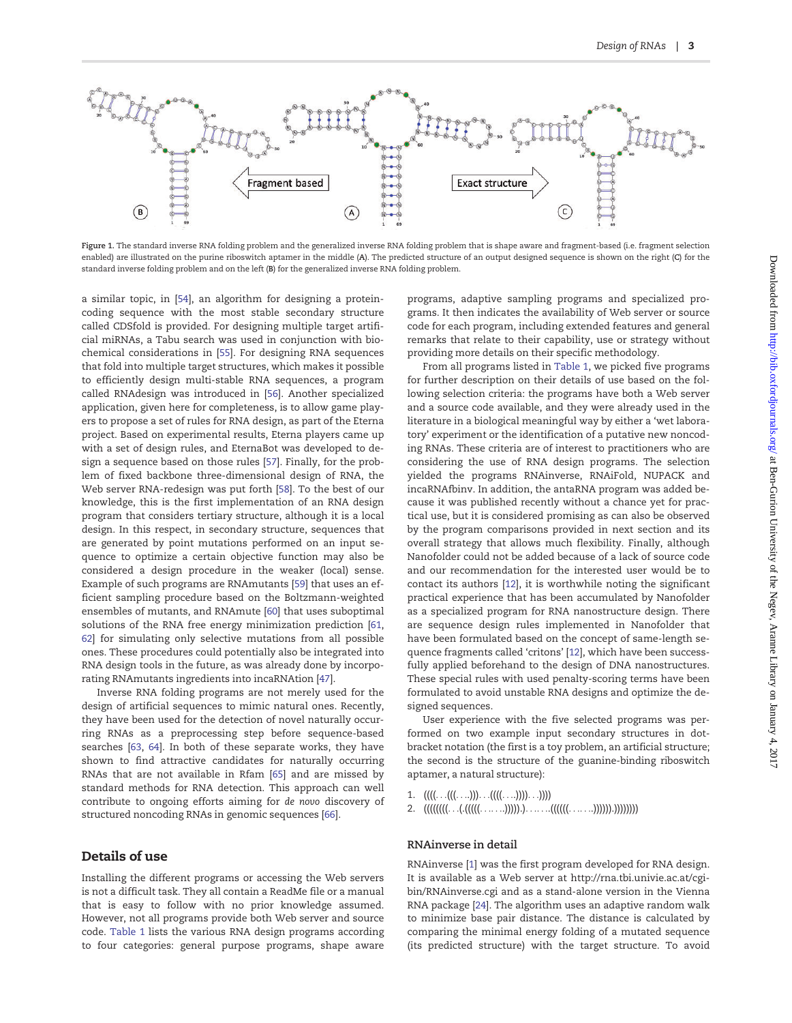<span id="page-2-0"></span>

Figure 1. The standard inverse RNA folding problem and the generalized inverse RNA folding problem that is shape aware and fragment-based (i.e. fragment selection enabled) are illustrated on the purine riboswitch aptamer in the middle (A). The predicted structure of an output designed sequence is shown on the right (C) for the standard inverse folding problem and on the left (B) for the generalized inverse RNA folding problem.

a similar topic, in [[54\]](#page-8-0), an algorithm for designing a proteincoding sequence with the most stable secondary structure called CDSfold is provided. For designing multiple target artificial miRNAs, a Tabu search was used in conjunction with biochemical considerations in [[55](#page-8-0)]. For designing RNA sequences that fold into multiple target structures, which makes it possible to efficiently design multi-stable RNA sequences, a program called RNAdesign was introduced in [[56](#page-8-0)]. Another specialized application, given here for completeness, is to allow game players to propose a set of rules for RNA design, as part of the Eterna project. Based on experimental results, Eterna players came up with a set of design rules, and EternaBot was developed to design a sequence based on those rules [[57](#page-8-0)]. Finally, for the problem of fixed backbone three-dimensional design of RNA, the Web server RNA-redesign was put forth [[58\]](#page-8-0). To the best of our knowledge, this is the first implementation of an RNA design program that considers tertiary structure, although it is a local design. In this respect, in secondary structure, sequences that are generated by point mutations performed on an input sequence to optimize a certain objective function may also be considered a design procedure in the weaker (local) sense. Example of such programs are RNAmutants [[59](#page-8-0)] that uses an efficient sampling procedure based on the Boltzmann-weighted ensembles of mutants, and RNAmute [\[60\]](#page-8-0) that uses suboptimal solutions of the RNA free energy minimization prediction [[61](#page-8-0), [62](#page-8-0)] for simulating only selective mutations from all possible ones. These procedures could potentially also be integrated into RNA design tools in the future, as was already done by incorporating RNAmutants ingredients into incaRNAtion [\[47](#page-8-0)].

Inverse RNA folding programs are not merely used for the design of artificial sequences to mimic natural ones. Recently, they have been used for the detection of novel naturally occurring RNAs as a preprocessing step before sequence-based searches [\[63](#page-8-0), [64](#page-8-0)]. In both of these separate works, they have shown to find attractive candidates for naturally occurring RNAs that are not available in Rfam [[65](#page-8-0)] and are missed by standard methods for RNA detection. This approach can well contribute to ongoing efforts aiming for de novo discovery of structured noncoding RNAs in genomic sequences [\[66](#page-8-0)].

### Details of use

Installing the different programs or accessing the Web servers is not a difficult task. They all contain a ReadMe file or a manual that is easy to follow with no prior knowledge assumed. However, not all programs provide both Web server and source code. [Table 1](#page-3-0) lists the various RNA design programs according to four categories: general purpose programs, shape aware

programs, adaptive sampling programs and specialized programs. It then indicates the availability of Web server or source code for each program, including extended features and general remarks that relate to their capability, use or strategy without providing more details on their specific methodology.

From all programs listed in [Table 1](#page-3-0), we picked five programs for further description on their details of use based on the following selection criteria: the programs have both a Web server and a source code available, and they were already used in the literature in a biological meaningful way by either a 'wet laboratory' experiment or the identification of a putative new noncoding RNAs. These criteria are of interest to practitioners who are considering the use of RNA design programs. The selection yielded the programs RNAinverse, RNAiFold, NUPACK and incaRNAfbinv. In addition, the antaRNA program was added because it was published recently without a chance yet for practical use, but it is considered promising as can also be observed by the program comparisons provided in next section and its overall strategy that allows much flexibility. Finally, although Nanofolder could not be added because of a lack of source code and our recommendation for the interested user would be to contact its authors [[12](#page-7-0)], it is worthwhile noting the significant practical experience that has been accumulated by Nanofolder as a specialized program for RNA nanostructure design. There are sequence design rules implemented in Nanofolder that have been formulated based on the concept of same-length sequence fragments called 'critons' [\[12](#page-7-0)], which have been successfully applied beforehand to the design of DNA nanostructures. These special rules with used penalty-scoring terms have been formulated to avoid unstable RNA designs and optimize the designed sequences.

User experience with the five selected programs was performed on two example input secondary structures in dotbracket notation (the first is a toy problem, an artificial structure; the second is the structure of the guanine-binding riboswitch aptamer, a natural structure):

- 1.  $(((\dots(((\dots))\dots((((\dots)))))\dots))))$
- 2.  $(((((((\ldots..((((((\ldots.....))))))\ldots......(((((\ldots.....))))))\ldots)))))))$

#### RNAinverse in detail

RNAinverse [[1\]](#page-7-0) was the first program developed for RNA design. It is available as a Web server at [http://rna.tbi.univie.ac.at/cgi](http://rna.tbi.univie.ac.at/cgi-bin/RNAinverse.cgi)[bin/RNAinverse.cgi](http://rna.tbi.univie.ac.at/cgi-bin/RNAinverse.cgi) and as a stand-alone version in the Vienna RNA package [[24](#page-7-0)]. The algorithm uses an adaptive random walk to minimize base pair distance. The distance is calculated by comparing the minimal energy folding of a mutated sequence (its predicted structure) with the target structure. To avoid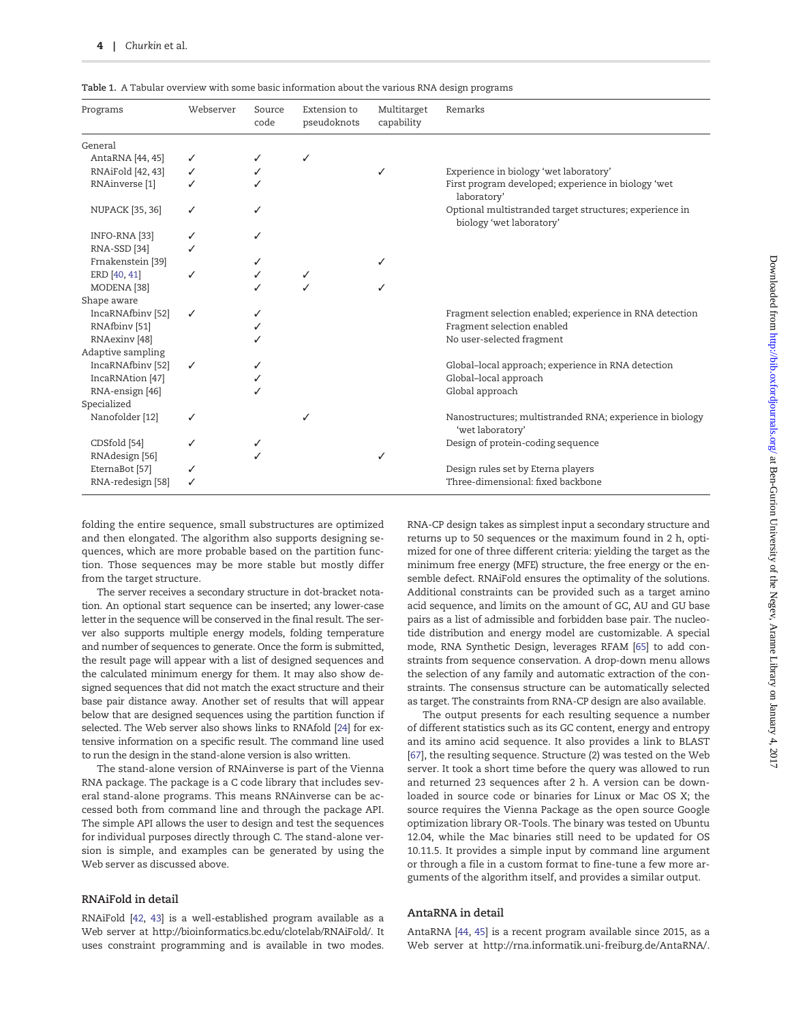| Programs                 | Webserver    | Source<br>code | Extension to<br>pseudoknots | Multitarget<br>capability | Remarks                                                                             |
|--------------------------|--------------|----------------|-----------------------------|---------------------------|-------------------------------------------------------------------------------------|
| General                  |              |                |                             |                           |                                                                                     |
| AntaRNA [44, 45]         | ✓            |                | ✓                           |                           |                                                                                     |
| RNAiFold [42, 43]        | ✓            | ✓              |                             | ✓                         | Experience in biology 'wet laboratory'                                              |
| RNAinverse [1]           |              |                |                             |                           | First program developed; experience in biology 'wet<br>laboratory'                  |
| <b>NUPACK</b> [35, 36]   | ✓            | ✓              |                             |                           | Optional multistranded target structures; experience in<br>biology 'wet laboratory' |
| INFO-RNA [33]            | ✓            | ✓              |                             |                           |                                                                                     |
| RNA-SSD [34]             |              |                |                             |                           |                                                                                     |
| Frnakenstein [39]        |              | ✓              |                             | ✓                         |                                                                                     |
| ERD [40, 41]             |              |                | $\checkmark$                |                           |                                                                                     |
| MODENA [38]              |              |                |                             | ℐ                         |                                                                                     |
| Shape aware              |              |                |                             |                           |                                                                                     |
| IncaRNAfbiny [52]        | ✓            | ✓              |                             |                           | Fragment selection enabled; experience in RNA detection                             |
| RNAfbiny [51]            |              |                |                             |                           | Fragment selection enabled                                                          |
| RNAexinv <sup>[48]</sup> |              |                |                             |                           | No user-selected fragment                                                           |
| Adaptive sampling        |              |                |                             |                           |                                                                                     |
| IncaRNAfbiny [52]        | $\checkmark$ | ✓              |                             |                           | Global-local approach; experience in RNA detection                                  |
| IncaRNAtion [47]         |              |                |                             |                           | Global-local approach                                                               |
| RNA-ensign [46]          |              |                |                             |                           | Global approach                                                                     |
| Specialized              |              |                |                             |                           |                                                                                     |
| Nanofolder [12]          | ✓            |                | ✓                           |                           | Nanostructures; multistranded RNA; experience in biology<br>'wet laboratory'        |
| CDSfold [54]             |              | ✓              |                             |                           | Design of protein-coding sequence                                                   |
| RNAdesign [56]           |              |                |                             |                           |                                                                                     |
| EternaBot [57]           |              |                |                             |                           | Design rules set by Eterna players                                                  |
| RNA-redesign [58]        |              |                |                             |                           | Three-dimensional: fixed backbone                                                   |

<span id="page-3-0"></span>Table 1. A Tabular overview with some basic information about the various RNA design programs

folding the entire sequence, small substructures are optimized and then elongated. The algorithm also supports designing sequences, which are more probable based on the partition function. Those sequences may be more stable but mostly differ from the target structure.

The server receives a secondary structure in dot-bracket notation. An optional start sequence can be inserted; any lower-case letter in the sequence will be conserved in the final result. The server also supports multiple energy models, folding temperature and number of sequences to generate. Once the form is submitted, the result page will appear with a list of designed sequences and the calculated minimum energy for them. It may also show designed sequences that did not match the exact structure and their base pair distance away. Another set of results that will appear below that are designed sequences using the partition function if selected. The Web server also shows links to RNAfold [[24\]](#page-7-0) for extensive information on a specific result. The command line used to run the design in the stand-alone version is also written.

The stand-alone version of RNAinverse is part of the Vienna RNA package. The package is a C code library that includes several stand-alone programs. This means RNAinverse can be accessed both from command line and through the package API. The simple API allows the user to design and test the sequences for individual purposes directly through C. The stand-alone version is simple, and examples can be generated by using the Web server as discussed above.

#### RNAiFold in detail

RNAiFold [[42,](#page-8-0) [43\]](#page-8-0) is a well-established program available as a Web server at [http://bioinformatics.bc.edu/clotelab/RNAiFold/.](http://bioinformatics.bc.edu/clotelab/RNAiFold/) It uses constraint programming and is available in two modes.

RNA-CP design takes as simplest input a secondary structure and returns up to 50 sequences or the maximum found in 2 h, optimized for one of three different criteria: yielding the target as the minimum free energy (MFE) structure, the free energy or the ensemble defect. RNAiFold ensures the optimality of the solutions. Additional constraints can be provided such as a target amino acid sequence, and limits on the amount of GC, AU and GU base pairs as a list of admissible and forbidden base pair. The nucleotide distribution and energy model are customizable. A special mode, RNA Synthetic Design, leverages RFAM [[65\]](#page-8-0) to add constraints from sequence conservation. A drop-down menu allows the selection of any family and automatic extraction of the constraints. The consensus structure can be automatically selected as target. The constraints from RNA-CP design are also available.

The output presents for each resulting sequence a number of different statistics such as its GC content, energy and entropy and its amino acid sequence. It also provides a link to BLAST [\[67\]](#page-8-0), the resulting sequence. Structure (2) was tested on the Web server. It took a short time before the query was allowed to run and returned 23 sequences after 2 h. A version can be downloaded in source code or binaries for Linux or Mac OS X; the source requires the Vienna Package as the open source Google optimization library OR-Tools. The binary was tested on Ubuntu 12.04, while the Mac binaries still need to be updated for OS 10.11.5. It provides a simple input by command line argument or through a file in a custom format to fine-tune a few more arguments of the algorithm itself, and provides a similar output.

#### AntaRNA in detail

AntaRNA [\[44](#page-8-0), [45](#page-8-0)] is a recent program available since 2015, as a Web server at<http://rna.informatik.uni-freiburg.de/AntaRNA/>.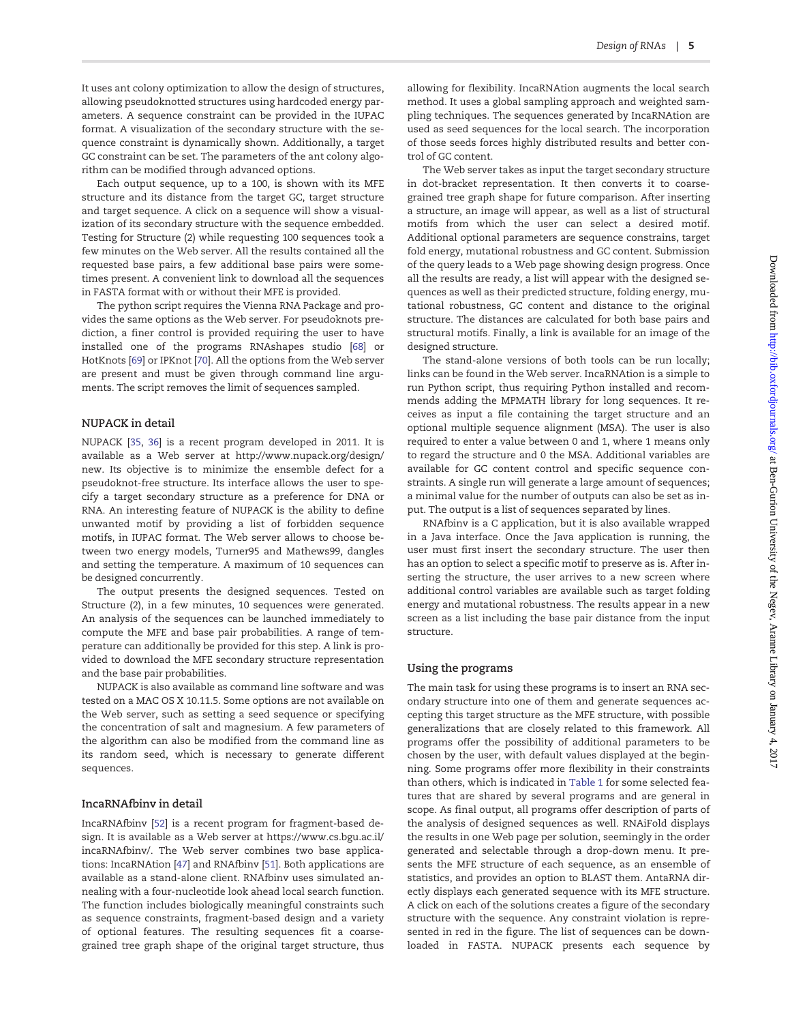It uses ant colony optimization to allow the design of structures, allowing pseudoknotted structures using hardcoded energy parameters. A sequence constraint can be provided in the IUPAC format. A visualization of the secondary structure with the sequence constraint is dynamically shown. Additionally, a target GC constraint can be set. The parameters of the ant colony algorithm can be modified through advanced options.

Each output sequence, up to a 100, is shown with its MFE structure and its distance from the target GC, target structure and target sequence. A click on a sequence will show a visualization of its secondary structure with the sequence embedded. Testing for Structure (2) while requesting 100 sequences took a few minutes on the Web server. All the results contained all the requested base pairs, a few additional base pairs were sometimes present. A convenient link to download all the sequences in FASTA format with or without their MFE is provided.

The python script requires the Vienna RNA Package and provides the same options as the Web server. For pseudoknots prediction, a finer control is provided requiring the user to have installed one of the programs RNAshapes studio [[68](#page-8-0)] or HotKnots [[69](#page-8-0)] or IPKnot [\[70\]](#page-8-0). All the options from the Web server are present and must be given through command line arguments. The script removes the limit of sequences sampled.

#### NUPACK in detail

NUPACK [[35](#page-8-0), [36\]](#page-8-0) is a recent program developed in 2011. It is available as a Web server at [http://www.nupack.org/design/](http://www.nupack.org/design/new) [new.](http://www.nupack.org/design/new) Its objective is to minimize the ensemble defect for a pseudoknot-free structure. Its interface allows the user to specify a target secondary structure as a preference for DNA or RNA. An interesting feature of NUPACK is the ability to define unwanted motif by providing a list of forbidden sequence motifs, in IUPAC format. The Web server allows to choose between two energy models, Turner95 and Mathews99, dangles and setting the temperature. A maximum of 10 sequences can be designed concurrently.

The output presents the designed sequences. Tested on Structure (2), in a few minutes, 10 sequences were generated. An analysis of the sequences can be launched immediately to compute the MFE and base pair probabilities. A range of temperature can additionally be provided for this step. A link is provided to download the MFE secondary structure representation and the base pair probabilities.

NUPACK is also available as command line software and was tested on a MAC OS X 10.11.5. Some options are not available on the Web server, such as setting a seed sequence or specifying the concentration of salt and magnesium. A few parameters of the algorithm can also be modified from the command line as its random seed, which is necessary to generate different sequences.

#### IncaRNAfbinv in detail

IncaRNAfbinv [\[52\]](#page-8-0) is a recent program for fragment-based design. It is available as a Web server at [https://www.cs.bgu.ac.il/](https://www.cs.bgu.ac.il/incaRNAfbinv/) [incaRNAfbinv/](https://www.cs.bgu.ac.il/incaRNAfbinv/). The Web server combines two base applications: IncaRNAtion [[47\]](#page-8-0) and RNAfbinv [[51](#page-8-0)]. Both applications are available as a stand-alone client. RNAfbinv uses simulated annealing with a four-nucleotide look ahead local search function. The function includes biologically meaningful constraints such as sequence constraints, fragment-based design and a variety of optional features. The resulting sequences fit a coarsegrained tree graph shape of the original target structure, thus

allowing for flexibility. IncaRNAtion augments the local search method. It uses a global sampling approach and weighted sampling techniques. The sequences generated by IncaRNAtion are used as seed sequences for the local search. The incorporation of those seeds forces highly distributed results and better control of GC content.

The Web server takes as input the target secondary structure in dot-bracket representation. It then converts it to coarsegrained tree graph shape for future comparison. After inserting a structure, an image will appear, as well as a list of structural motifs from which the user can select a desired motif. Additional optional parameters are sequence constrains, target fold energy, mutational robustness and GC content. Submission of the query leads to a Web page showing design progress. Once all the results are ready, a list will appear with the designed sequences as well as their predicted structure, folding energy, mutational robustness, GC content and distance to the original structure. The distances are calculated for both base pairs and structural motifs. Finally, a link is available for an image of the designed structure.

The stand-alone versions of both tools can be run locally; links can be found in the Web server. IncaRNAtion is a simple to run Python script, thus requiring Python installed and recommends adding the MPMATH library for long sequences. It receives as input a file containing the target structure and an optional multiple sequence alignment (MSA). The user is also required to enter a value between 0 and 1, where 1 means only to regard the structure and 0 the MSA. Additional variables are available for GC content control and specific sequence constraints. A single run will generate a large amount of sequences; a minimal value for the number of outputs can also be set as input. The output is a list of sequences separated by lines.

RNAfbinv is a C application, but it is also available wrapped in a Java interface. Once the Java application is running, the user must first insert the secondary structure. The user then has an option to select a specific motif to preserve as is. After inserting the structure, the user arrives to a new screen where additional control variables are available such as target folding energy and mutational robustness. The results appear in a new screen as a list including the base pair distance from the input structure.

#### Using the programs

The main task for using these programs is to insert an RNA secondary structure into one of them and generate sequences accepting this target structure as the MFE structure, with possible generalizations that are closely related to this framework. All programs offer the possibility of additional parameters to be chosen by the user, with default values displayed at the beginning. Some programs offer more flexibility in their constraints than others, which is indicated in [Table 1](#page-3-0) for some selected features that are shared by several programs and are general in scope. As final output, all programs offer description of parts of the analysis of designed sequences as well. RNAiFold displays the results in one Web page per solution, seemingly in the order generated and selectable through a drop-down menu. It presents the MFE structure of each sequence, as an ensemble of statistics, and provides an option to BLAST them. AntaRNA directly displays each generated sequence with its MFE structure. A click on each of the solutions creates a figure of the secondary structure with the sequence. Any constraint violation is represented in red in the figure. The list of sequences can be downloaded in FASTA. NUPACK presents each sequence by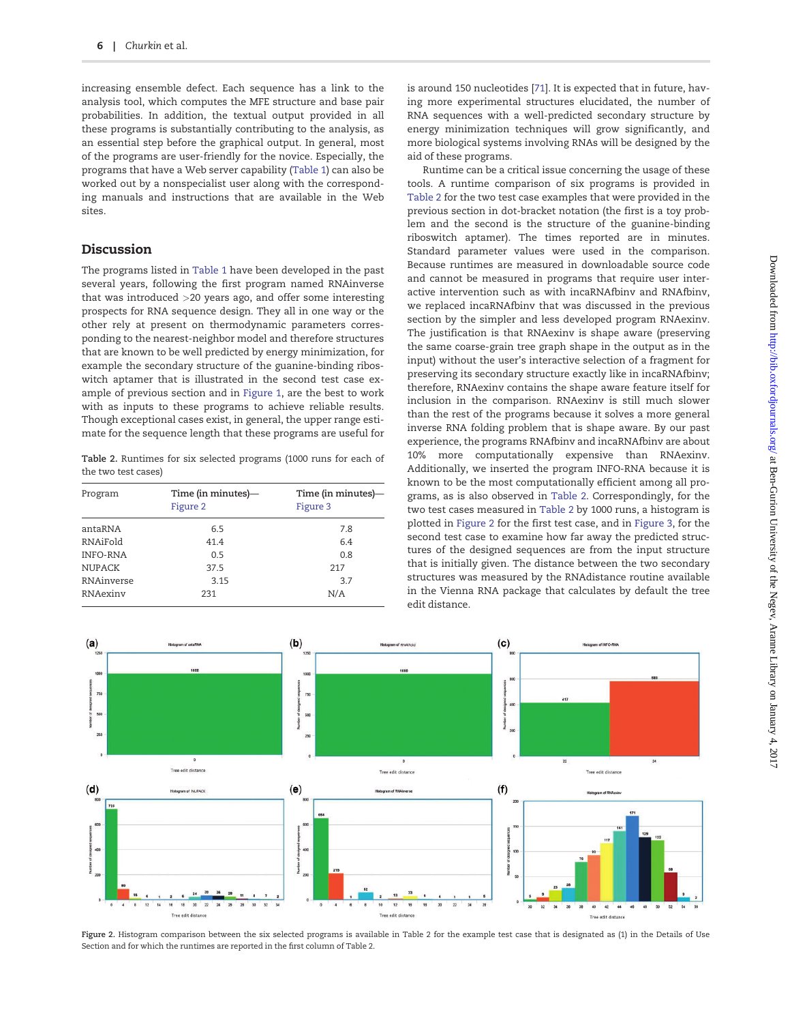<span id="page-5-0"></span>increasing ensemble defect. Each sequence has a link to the analysis tool, which computes the MFE structure and base pair probabilities. In addition, the textual output provided in all these programs is substantially contributing to the analysis, as an essential step before the graphical output. In general, most of the programs are user-friendly for the novice. Especially, the programs that have a Web server capability [\(Table 1](#page-3-0)) can also be worked out by a nonspecialist user along with the corresponding manuals and instructions that are available in the Web sites.

### Discussion

The programs listed in [Table 1](#page-3-0) have been developed in the past several years, following the first program named RNAinverse that was introduced >20 years ago, and offer some interesting prospects for RNA sequence design. They all in one way or the other rely at present on thermodynamic parameters corresponding to the nearest-neighbor model and therefore structures that are known to be well predicted by energy minimization, for example the secondary structure of the guanine-binding riboswitch aptamer that is illustrated in the second test case example of previous section and in [Figure 1,](#page-2-0) are the best to work with as inputs to these programs to achieve reliable results. Though exceptional cases exist, in general, the upper range estimate for the sequence length that these programs are useful for

Table 2. Runtimes for six selected programs (1000 runs for each of the two test cases)

| Program         | Time (in minutes)-<br>Figure 2 | Time (in minutes)—<br>Figure 3 |
|-----------------|--------------------------------|--------------------------------|
| antaRNA         | 6.5                            | 7.8                            |
| RNAiFold        | 41.4                           | 6.4                            |
| <b>INFO-RNA</b> | 0.5                            | 0.8                            |
| <b>NUPACK</b>   | 37.5                           | 217                            |
| RNAinverse      | 3.15                           | 3.7                            |
| RNAexiny        | 231                            | N/A                            |

is around 150 nucleotides [\[71\]](#page-8-0). It is expected that in future, having more experimental structures elucidated, the number of RNA sequences with a well-predicted secondary structure by energy minimization techniques will grow significantly, and more biological systems involving RNAs will be designed by the aid of these programs.

Runtime can be a critical issue concerning the usage of these tools. A runtime comparison of six programs is provided in Table 2 for the two test case examples that were provided in the previous section in dot-bracket notation (the first is a toy problem and the second is the structure of the guanine-binding riboswitch aptamer). The times reported are in minutes. Standard parameter values were used in the comparison. Because runtimes are measured in downloadable source code and cannot be measured in programs that require user interactive intervention such as with incaRNAfbinv and RNAfbinv, we replaced incaRNAfbinv that was discussed in the previous section by the simpler and less developed program RNAexinv. The justification is that RNAexinv is shape aware (preserving the same coarse-grain tree graph shape in the output as in the input) without the user's interactive selection of a fragment for preserving its secondary structure exactly like in incaRNAfbinv; therefore, RNAexinv contains the shape aware feature itself for inclusion in the comparison. RNAexinv is still much slower than the rest of the programs because it solves a more general inverse RNA folding problem that is shape aware. By our past experience, the programs RNAfbinv and incaRNAfbinv are about 10% more computationally expensive than RNAexinv. Additionally, we inserted the program INFO-RNA because it is known to be the most computationally efficient among all programs, as is also observed in Table 2. Correspondingly, for the two test cases measured in Table 2 by 1000 runs, a histogram is plotted in Figure 2 for the first test case, and in [Figure 3](#page-6-0), for the second test case to examine how far away the predicted structures of the designed sequences are from the input structure that is initially given. The distance between the two secondary structures was measured by the RNAdistance routine available in the Vienna RNA package that calculates by default the tree edit distance.



Figure 2. Histogram comparison between the six selected programs is available in Table 2 for the example test case that is designated as (1) in the Details of Use Section and for which the runtimes are reported in the first column of Table 2.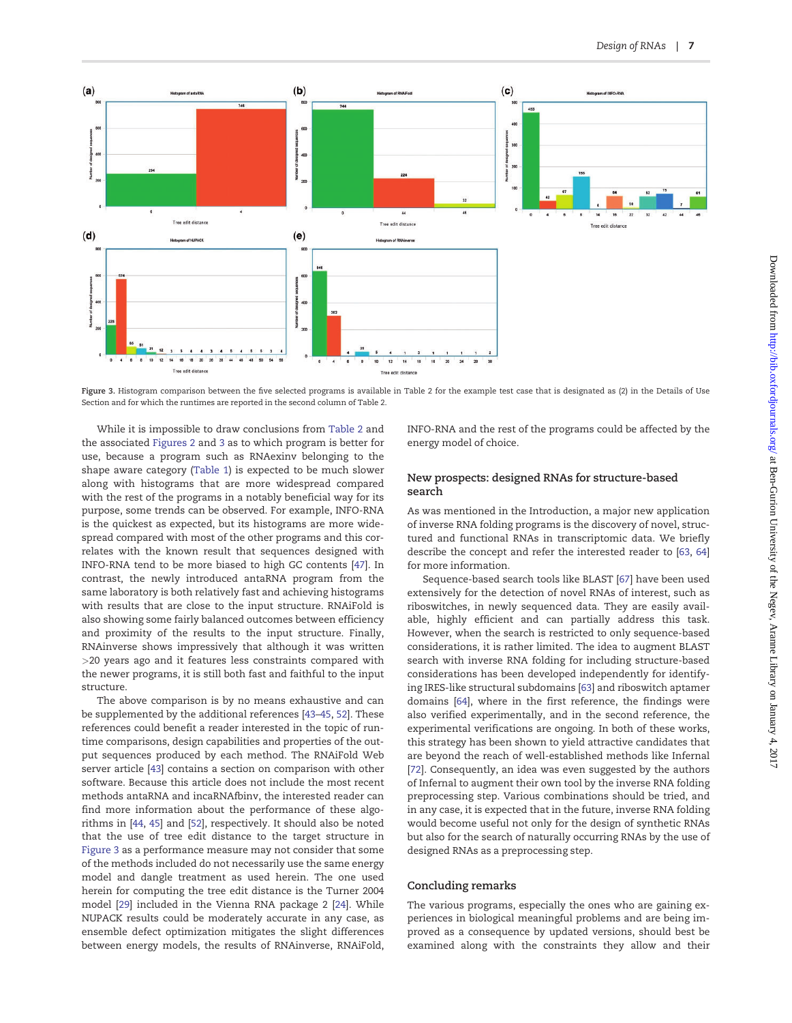<span id="page-6-0"></span>

Figure 3. Histogram comparison between the five selected programs is available in Table 2 for the example test case that is designated as (2) in the Details of Use Section and for which the runtimes are reported in the second column of Table 2.

While it is impossible to draw conclusions from [Table 2](#page-5-0) and the associated [Figures 2](#page-5-0) and 3 as to which program is better for use, because a program such as RNAexinv belonging to the shape aware category ([Table 1\)](#page-3-0) is expected to be much slower along with histograms that are more widespread compared with the rest of the programs in a notably beneficial way for its purpose, some trends can be observed. For example, INFO-RNA is the quickest as expected, but its histograms are more widespread compared with most of the other programs and this correlates with the known result that sequences designed with INFO-RNA tend to be more biased to high GC contents [\[47](#page-8-0)]. In contrast, the newly introduced antaRNA program from the same laboratory is both relatively fast and achieving histograms with results that are close to the input structure. RNAiFold is also showing some fairly balanced outcomes between efficiency and proximity of the results to the input structure. Finally, RNAinverse shows impressively that although it was written >20 years ago and it features less constraints compared with the newer programs, it is still both fast and faithful to the input structure.

The above comparison is by no means exhaustive and can be supplemented by the additional references [[43](#page-8-0)–[45](#page-8-0), [52\]](#page-8-0). These references could benefit a reader interested in the topic of runtime comparisons, design capabilities and properties of the output sequences produced by each method. The RNAiFold Web server article [\[43\]](#page-8-0) contains a section on comparison with other software. Because this article does not include the most recent methods antaRNA and incaRNAfbinv, the interested reader can find more information about the performance of these algorithms in [[44,](#page-8-0) [45\]](#page-8-0) and [[52](#page-8-0)], respectively. It should also be noted that the use of tree edit distance to the target structure in Figure 3 as a performance measure may not consider that some of the methods included do not necessarily use the same energy model and dangle treatment as used herein. The one used herein for computing the tree edit distance is the Turner 2004 model [[29](#page-8-0)] included in the Vienna RNA package 2 [\[24\]](#page-7-0). While NUPACK results could be moderately accurate in any case, as ensemble defect optimization mitigates the slight differences between energy models, the results of RNAinverse, RNAiFold,

INFO-RNA and the rest of the programs could be affected by the energy model of choice.

#### New prospects: designed RNAs for structure-based search

As was mentioned in the Introduction, a major new application of inverse RNA folding programs is the discovery of novel, structured and functional RNAs in transcriptomic data. We briefly describe the concept and refer the interested reader to [\[63,](#page-8-0) [64\]](#page-8-0) for more information.

Sequence-based search tools like BLAST [\[67](#page-8-0)] have been used extensively for the detection of novel RNAs of interest, such as riboswitches, in newly sequenced data. They are easily available, highly efficient and can partially address this task. However, when the search is restricted to only sequence-based considerations, it is rather limited. The idea to augment BLAST search with inverse RNA folding for including structure-based considerations has been developed independently for identifying IRES-like structural subdomains [[63\]](#page-8-0) and riboswitch aptamer domains [\[64\]](#page-8-0), where in the first reference, the findings were also verified experimentally, and in the second reference, the experimental verifications are ongoing. In both of these works, this strategy has been shown to yield attractive candidates that are beyond the reach of well-established methods like Infernal [\[72\]](#page-8-0). Consequently, an idea was even suggested by the authors of Infernal to augment their own tool by the inverse RNA folding preprocessing step. Various combinations should be tried, and in any case, it is expected that in the future, inverse RNA folding would become useful not only for the design of synthetic RNAs but also for the search of naturally occurring RNAs by the use of designed RNAs as a preprocessing step.

#### Concluding remarks

The various programs, especially the ones who are gaining experiences in biological meaningful problems and are being improved as a consequence by updated versions, should best be examined along with the constraints they allow and their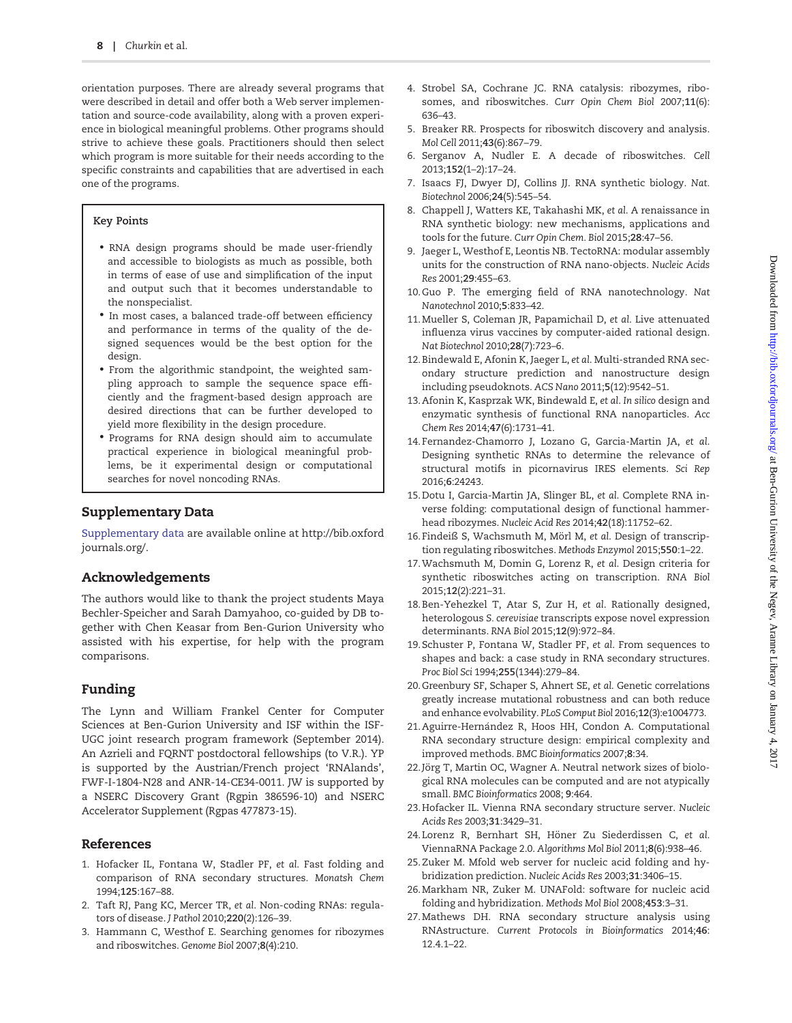<span id="page-7-0"></span>orientation purposes. There are already several programs that were described in detail and offer both a Web server implementation and source-code availability, along with a proven experience in biological meaningful problems. Other programs should strive to achieve these goals. Practitioners should then select which program is more suitable for their needs according to the specific constraints and capabilities that are advertised in each one of the programs.

#### Key Points

- RNA design programs should be made user-friendly and accessible to biologists as much as possible, both in terms of ease of use and simplification of the input and output such that it becomes understandable to the nonspecialist.
- In most cases, a balanced trade-off between efficiency and performance in terms of the quality of the designed sequences would be the best option for the design.
- From the algorithmic standpoint, the weighted sampling approach to sample the sequence space efficiently and the fragment-based design approach are desired directions that can be further developed to yield more flexibility in the design procedure.
- Programs for RNA design should aim to accumulate practical experience in biological meaningful problems, be it experimental design or computational searches for novel noncoding RNAs.

## Supplementary Data

[Supplementary data](http://bib.oxfordjournals.org/lookup/suppl/doi:10.1093/bib/bbw120/-/DC1) are available online at [http://bib.oxford](http://bib.oxfordjournals.org/) [journals.org/.](http://bib.oxfordjournals.org/)

# Acknowledgements

The authors would like to thank the project students Maya Bechler-Speicher and Sarah Damyahoo, co-guided by DB together with Chen Keasar from Ben-Gurion University who assisted with his expertise, for help with the program comparisons.

# Funding

The Lynn and William Frankel Center for Computer Sciences at Ben-Gurion University and ISF within the ISF-UGC joint research program framework (September 2014). An Azrieli and FQRNT postdoctoral fellowships (to V.R.). YP is supported by the Austrian/French project 'RNAlands', FWF-I-1804-N28 and ANR-14-CE34-0011. JW is supported by a NSERC Discovery Grant (Rgpin 386596-10) and NSERC Accelerator Supplement (Rgpas 477873-15).

# References

- 1. Hofacker IL, Fontana W, Stadler PF, et al. Fast folding and comparison of RNA secondary structures. Monatsh Chem 1994;125:167–88.
- 2. Taft RJ, Pang KC, Mercer TR, et al. Non-coding RNAs: regulators of disease. J Pathol 2010;220(2):126–39.
- 3. Hammann C, Westhof E. Searching genomes for ribozymes and riboswitches. Genome Biol 2007;8(4):210.
- 4. Strobel SA, Cochrane JC. RNA catalysis: ribozymes, ribosomes, and riboswitches. Curr Opin Chem Biol 2007;11(6): 636–43.
- 5. Breaker RR. Prospects for riboswitch discovery and analysis. Mol Cell 2011;43(6):867–79.
- 6. Serganov A, Nudler E. A decade of riboswitches. Cell 2013;152(1–2):17–24.
- 7. Isaacs FJ, Dwyer DJ, Collins JJ. RNA synthetic biology. Nat. Biotechnol 2006;24(5):545–54.
- 8. Chappell J, Watters KE, Takahashi MK, et al. A renaissance in RNA synthetic biology: new mechanisms, applications and tools for the future. Curr Opin Chem. Biol 2015;28:47–56.
- 9. Jaeger L, Westhof E, Leontis NB. TectoRNA: modular assembly units for the construction of RNA nano-objects. Nucleic Acids Res 2001;29:455–63.
- 10.Guo P. The emerging field of RNA nanotechnology. Nat Nanotechnol 2010;5:833–42.
- 11.Mueller S, Coleman JR, Papamichail D, et al. Live attenuated influenza virus vaccines by computer-aided rational design. Nat Biotechnol 2010;28(7):723–6.
- 12.Bindewald E, Afonin K, Jaeger L, et al. Multi-stranded RNA secondary structure prediction and nanostructure design including pseudoknots. ACS Nano 2011;5(12):9542–51.
- 13.Afonin K, Kasprzak WK, Bindewald E, et al. In silico design and enzymatic synthesis of functional RNA nanoparticles. Acc Chem Res 2014;47(6):1731–41.
- 14.Fernandez-Chamorro J, Lozano G, Garcia-Martin JA, et al. Designing synthetic RNAs to determine the relevance of structural motifs in picornavirus IRES elements. Sci Rep 2016;6:24243.
- 15.Dotu I, Garcia-Martin JA, Slinger BL, et al. Complete RNA inverse folding: computational design of functional hammerhead ribozymes. Nucleic Acid Res 2014;42(18):11752–62.
- 16. Findeiß S, Wachsmuth M, Mörl M, et al. Design of transcription regulating riboswitches. Methods Enzymol 2015;550:1–22.
- 17.Wachsmuth M, Domin G, Lorenz R, et al. Design criteria for synthetic riboswitches acting on transcription. RNA Biol 2015;12(2):221–31.
- 18.Ben-Yehezkel T, Atar S, Zur H, et al. Rationally designed, heterologous S. cerevisiae transcripts expose novel expression determinants. RNA Biol 2015;12(9):972–84.
- 19.Schuster P, Fontana W, Stadler PF, et al. From sequences to shapes and back: a case study in RNA secondary structures. Proc Biol Sci 1994;255(1344):279–84.
- 20.Greenbury SF, Schaper S, Ahnert SE, et al. Genetic correlations greatly increase mutational robustness and can both reduce and enhance evolvability. PLoS Comput Biol 2016;12(3):e1004773.
- 21. Aguirre-Hernández R, Hoos HH, Condon A. Computational RNA secondary structure design: empirical complexity and improved methods. BMC Bioinformatics 2007;8:34.
- 22.Jörg T, Martin OC, Wagner A. Neutral network sizes of biological RNA molecules can be computed and are not atypically small. BMC Bioinformatics 2008; 9:464.
- 23.Hofacker IL. Vienna RNA secondary structure server. Nucleic Acids Res 2003;31:3429–31.
- 24. Lorenz R, Bernhart SH, Höner Zu Siederdissen C, et al. ViennaRNA Package 2.0. Algorithms Mol Biol 2011;8(6):938–46.
- 25.Zuker M. Mfold web server for nucleic acid folding and hybridization prediction. Nucleic Acids Res 2003;31:3406–15.
- 26.Markham NR, Zuker M. UNAFold: software for nucleic acid folding and hybridization. Methods Mol Biol 2008;453:3–31.
- 27.Mathews DH. RNA secondary structure analysis using RNAstructure. Current Protocols in Bioinformatics 2014;46: 12.4.1–22.